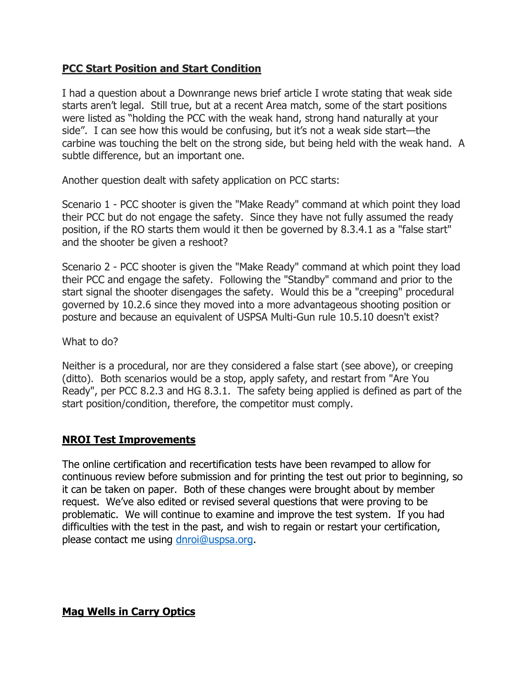## **PCC Start Position and Start Condition**

I had a question about a Downrange news brief article I wrote stating that weak side starts aren't legal. Still true, but at a recent Area match, some of the start positions were listed as "holding the PCC with the weak hand, strong hand naturally at your side". I can see how this would be confusing, but it's not a weak side start—the carbine was touching the belt on the strong side, but being held with the weak hand. A subtle difference, but an important one.

Another question dealt with safety application on PCC starts:

Scenario 1 - PCC shooter is given the "Make Ready" command at which point they load their PCC but do not engage the safety. Since they have not fully assumed the ready position, if the RO starts them would it then be governed by 8.3.4.1 as a "false start" and the shooter be given a reshoot?

Scenario 2 - PCC shooter is given the "Make Ready" command at which point they load their PCC and engage the safety. Following the "Standby" command and prior to the start signal the shooter disengages the safety. Would this be a "creeping" procedural governed by 10.2.6 since they moved into a more advantageous shooting position or posture and because an equivalent of USPSA Multi-Gun rule 10.5.10 doesn't exist?

What to do?

Neither is a procedural, nor are they considered a false start (see above), or creeping (ditto). Both scenarios would be a stop, apply safety, and restart from "Are You Ready", per PCC 8.2.3 and HG 8.3.1. The safety being applied is defined as part of the start position/condition, therefore, the competitor must comply.

## **NROI Test Improvements**

The online certification and recertification tests have been revamped to allow for continuous review before submission and for printing the test out prior to beginning, so it can be taken on paper. Both of these changes were brought about by member request. We've also edited or revised several questions that were proving to be problematic. We will continue to examine and improve the test system. If you had difficulties with the test in the past, and wish to regain or restart your certification, please contact me using [dnroi@uspsa.org.](mailto:dnroi@uspsa.org)

**Mag Wells in Carry Optics**